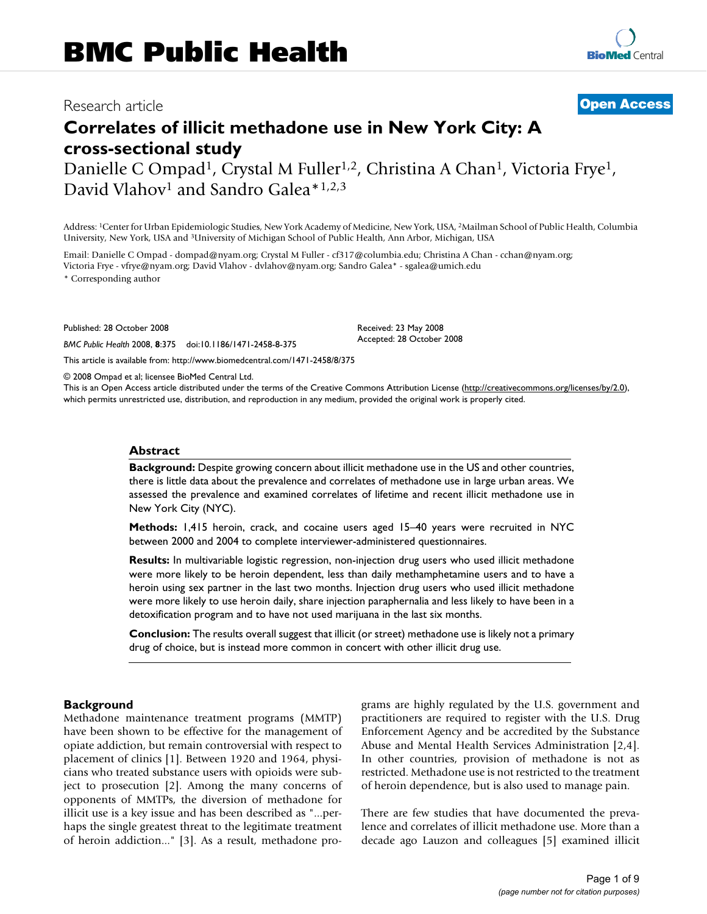# Research article **[Open Access](http://www.biomedcentral.com/info/about/charter/)**

# **Correlates of illicit methadone use in New York City: A cross-sectional study**

Danielle C Ompad<sup>1</sup>, Crystal M Fuller<sup>1,2</sup>, Christina A Chan<sup>1</sup>, Victoria Frye<sup>1</sup>, David Vlahov1 and Sandro Galea\*1,2,3

Address: 1Center for Urban Epidemiologic Studies, New York Academy of Medicine, New York, USA, 2Mailman School of Public Health, Columbia University, New York, USA and 3University of Michigan School of Public Health, Ann Arbor, Michigan, USA

Email: Danielle C Ompad - dompad@nyam.org; Crystal M Fuller - cf317@columbia.edu; Christina A Chan - cchan@nyam.org; Victoria Frye - vfrye@nyam.org; David Vlahov - dvlahov@nyam.org; Sandro Galea\* - sgalea@umich.edu

\* Corresponding author

Published: 28 October 2008

*BMC Public Health* 2008, **8**:375 doi:10.1186/1471-2458-8-375

[This article is available from: http://www.biomedcentral.com/1471-2458/8/375](http://www.biomedcentral.com/1471-2458/8/375)

© 2008 Ompad et al; licensee BioMed Central Ltd.

This is an Open Access article distributed under the terms of the Creative Commons Attribution License [\(http://creativecommons.org/licenses/by/2.0\)](http://creativecommons.org/licenses/by/2.0), which permits unrestricted use, distribution, and reproduction in any medium, provided the original work is properly cited.

Received: 23 May 2008 Accepted: 28 October 2008

#### **Abstract**

**Background:** Despite growing concern about illicit methadone use in the US and other countries, there is little data about the prevalence and correlates of methadone use in large urban areas. We assessed the prevalence and examined correlates of lifetime and recent illicit methadone use in New York City (NYC).

**Methods:** 1,415 heroin, crack, and cocaine users aged 15–40 years were recruited in NYC between 2000 and 2004 to complete interviewer-administered questionnaires.

**Results:** In multivariable logistic regression, non-injection drug users who used illicit methadone were more likely to be heroin dependent, less than daily methamphetamine users and to have a heroin using sex partner in the last two months. Injection drug users who used illicit methadone were more likely to use heroin daily, share injection paraphernalia and less likely to have been in a detoxification program and to have not used marijuana in the last six months.

**Conclusion:** The results overall suggest that illicit (or street) methadone use is likely not a primary drug of choice, but is instead more common in concert with other illicit drug use.

#### **Background**

Methadone maintenance treatment programs (MMTP) have been shown to be effective for the management of opiate addiction, but remain controversial with respect to placement of clinics [1]. Between 1920 and 1964, physicians who treated substance users with opioids were subject to prosecution [2]. Among the many concerns of opponents of MMTPs, the diversion of methadone for illicit use is a key issue and has been described as "...perhaps the single greatest threat to the legitimate treatment of heroin addiction..." [3]. As a result, methadone programs are highly regulated by the U.S. government and practitioners are required to register with the U.S. Drug Enforcement Agency and be accredited by the Substance Abuse and Mental Health Services Administration [2,4]. In other countries, provision of methadone is not as restricted. Methadone use is not restricted to the treatment of heroin dependence, but is also used to manage pain.

There are few studies that have documented the prevalence and correlates of illicit methadone use. More than a decade ago Lauzon and colleagues [5] examined illicit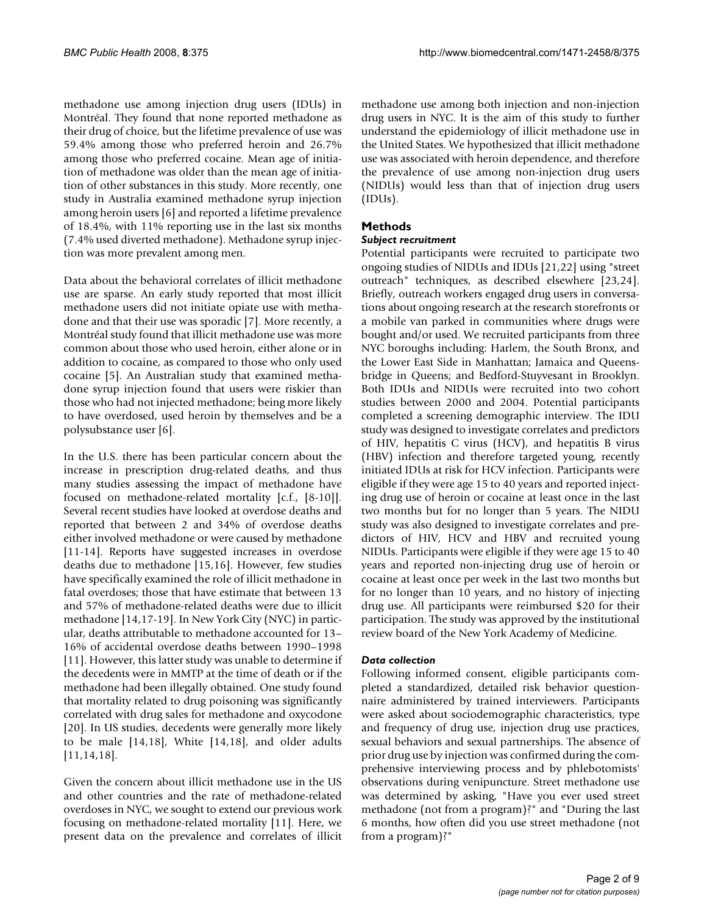methadone use among injection drug users (IDUs) in Montréal. They found that none reported methadone as their drug of choice, but the lifetime prevalence of use was 59.4% among those who preferred heroin and 26.7% among those who preferred cocaine. Mean age of initiation of methadone was older than the mean age of initiation of other substances in this study. More recently, one study in Australia examined methadone syrup injection among heroin users [6] and reported a lifetime prevalence of 18.4%, with 11% reporting use in the last six months (7.4% used diverted methadone). Methadone syrup injection was more prevalent among men.

Data about the behavioral correlates of illicit methadone use are sparse. An early study reported that most illicit methadone users did not initiate opiate use with methadone and that their use was sporadic [7]. More recently, a Montréal study found that illicit methadone use was more common about those who used heroin, either alone or in addition to cocaine, as compared to those who only used cocaine [5]. An Australian study that examined methadone syrup injection found that users were riskier than those who had not injected methadone; being more likely to have overdosed, used heroin by themselves and be a polysubstance user [6].

In the U.S. there has been particular concern about the increase in prescription drug-related deaths, and thus many studies assessing the impact of methadone have focused on methadone-related mortality [c.f., [8-10]]. Several recent studies have looked at overdose deaths and reported that between 2 and 34% of overdose deaths either involved methadone or were caused by methadone [11-14]. Reports have suggested increases in overdose deaths due to methadone [15,16]. However, few studies have specifically examined the role of illicit methadone in fatal overdoses; those that have estimate that between 13 and 57% of methadone-related deaths were due to illicit methadone [14,17-19]. In New York City (NYC) in particular, deaths attributable to methadone accounted for 13– 16% of accidental overdose deaths between 1990–1998 [11]. However, this latter study was unable to determine if the decedents were in MMTP at the time of death or if the methadone had been illegally obtained. One study found that mortality related to drug poisoning was significantly correlated with drug sales for methadone and oxycodone [20]. In US studies, decedents were generally more likely to be male [14,18], White [14,18], and older adults [11,14,18].

Given the concern about illicit methadone use in the US and other countries and the rate of methadone-related overdoses in NYC, we sought to extend our previous work focusing on methadone-related mortality [11]. Here, we present data on the prevalence and correlates of illicit

methadone use among both injection and non-injection drug users in NYC. It is the aim of this study to further understand the epidemiology of illicit methadone use in the United States. We hypothesized that illicit methadone use was associated with heroin dependence, and therefore the prevalence of use among non-injection drug users (NIDUs) would less than that of injection drug users (IDUs).

# **Methods**

#### *Subject recruitment*

Potential participants were recruited to participate two ongoing studies of NIDUs and IDUs [21,22] using "street outreach" techniques, as described elsewhere [23,24]. Briefly, outreach workers engaged drug users in conversations about ongoing research at the research storefronts or a mobile van parked in communities where drugs were bought and/or used. We recruited participants from three NYC boroughs including: Harlem, the South Bronx, and the Lower East Side in Manhattan; Jamaica and Queensbridge in Queens; and Bedford-Stuyvesant in Brooklyn. Both IDUs and NIDUs were recruited into two cohort studies between 2000 and 2004. Potential participants completed a screening demographic interview. The IDU study was designed to investigate correlates and predictors of HIV, hepatitis C virus (HCV), and hepatitis B virus (HBV) infection and therefore targeted young, recently initiated IDUs at risk for HCV infection. Participants were eligible if they were age 15 to 40 years and reported injecting drug use of heroin or cocaine at least once in the last two months but for no longer than 5 years. The NIDU study was also designed to investigate correlates and predictors of HIV, HCV and HBV and recruited young NIDUs. Participants were eligible if they were age 15 to 40 years and reported non-injecting drug use of heroin or cocaine at least once per week in the last two months but for no longer than 10 years, and no history of injecting drug use. All participants were reimbursed \$20 for their participation. The study was approved by the institutional review board of the New York Academy of Medicine.

#### *Data collection*

Following informed consent, eligible participants completed a standardized, detailed risk behavior questionnaire administered by trained interviewers. Participants were asked about sociodemographic characteristics, type and frequency of drug use, injection drug use practices, sexual behaviors and sexual partnerships. The absence of prior drug use by injection was confirmed during the comprehensive interviewing process and by phlebotomists' observations during venipuncture. Street methadone use was determined by asking, "Have you ever used street methadone (not from a program)?" and "During the last 6 months, how often did you use street methadone (not from a program)?"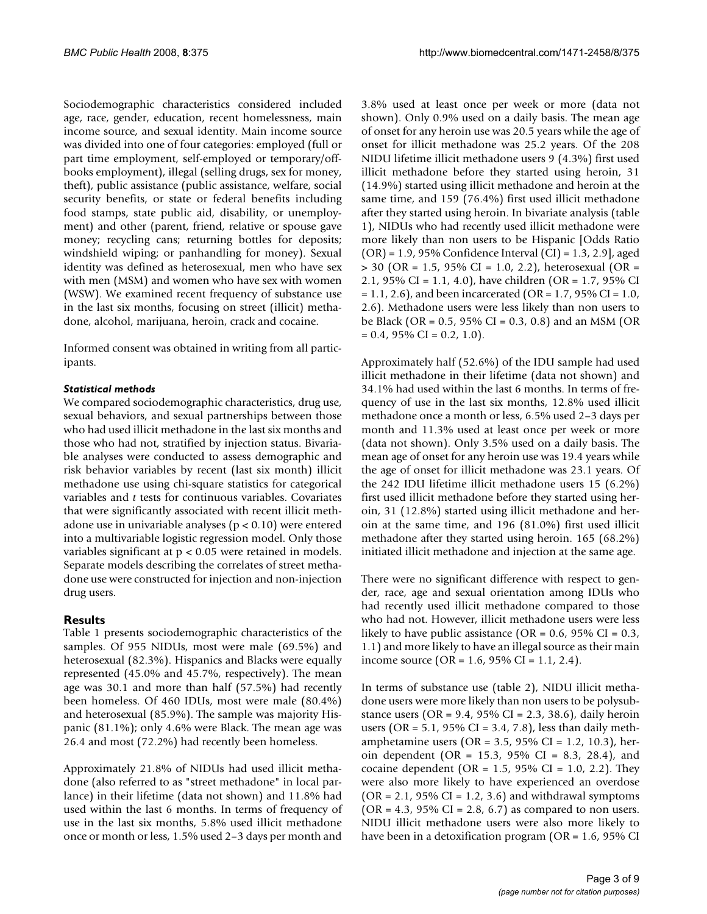Sociodemographic characteristics considered included age, race, gender, education, recent homelessness, main income source, and sexual identity. Main income source was divided into one of four categories: employed (full or part time employment, self-employed or temporary/offbooks employment), illegal (selling drugs, sex for money, theft), public assistance (public assistance, welfare, social security benefits, or state or federal benefits including food stamps, state public aid, disability, or unemployment) and other (parent, friend, relative or spouse gave money; recycling cans; returning bottles for deposits; windshield wiping; or panhandling for money). Sexual identity was defined as heterosexual, men who have sex with men (MSM) and women who have sex with women (WSW). We examined recent frequency of substance use in the last six months, focusing on street (illicit) methadone, alcohol, marijuana, heroin, crack and cocaine.

Informed consent was obtained in writing from all participants.

#### *Statistical methods*

We compared sociodemographic characteristics, drug use, sexual behaviors, and sexual partnerships between those who had used illicit methadone in the last six months and those who had not, stratified by injection status. Bivariable analyses were conducted to assess demographic and risk behavior variables by recent (last six month) illicit methadone use using chi-square statistics for categorical variables and *t* tests for continuous variables. Covariates that were significantly associated with recent illicit methadone use in univariable analyses (p < 0.10) were entered into a multivariable logistic regression model. Only those variables significant at p < 0.05 were retained in models. Separate models describing the correlates of street methadone use were constructed for injection and non-injection drug users.

# **Results**

Table 1 presents sociodemographic characteristics of the samples. Of 955 NIDUs, most were male (69.5%) and heterosexual (82.3%). Hispanics and Blacks were equally represented (45.0% and 45.7%, respectively). The mean age was 30.1 and more than half (57.5%) had recently been homeless. Of 460 IDUs, most were male (80.4%) and heterosexual (85.9%). The sample was majority Hispanic (81.1%); only 4.6% were Black. The mean age was 26.4 and most (72.2%) had recently been homeless.

Approximately 21.8% of NIDUs had used illicit methadone (also referred to as "street methadone" in local parlance) in their lifetime (data not shown) and 11.8% had used within the last 6 months. In terms of frequency of use in the last six months, 5.8% used illicit methadone once or month or less, 1.5% used 2–3 days per month and

3.8% used at least once per week or more (data not shown). Only 0.9% used on a daily basis. The mean age of onset for any heroin use was 20.5 years while the age of onset for illicit methadone was 25.2 years. Of the 208 NIDU lifetime illicit methadone users 9 (4.3%) first used illicit methadone before they started using heroin, 31 (14.9%) started using illicit methadone and heroin at the same time, and 159 (76.4%) first used illicit methadone after they started using heroin. In bivariate analysis (table 1), NIDUs who had recently used illicit methadone were more likely than non users to be Hispanic [Odds Ratio (OR) = 1.9, 95% Confidence Interval (CI) = 1.3, 2.9], aged > 30 (OR = 1.5, 95% CI = 1.0, 2.2), heterosexual (OR = 2.1, 95% CI = 1.1, 4.0), have children (OR = 1.7, 95% CI  $= 1.1, 2.6$ , and been incarcerated (OR  $= 1.7, 95\%$  CI  $= 1.0$ , 2.6). Methadone users were less likely than non users to be Black (OR =  $0.5$ , 95% CI =  $0.3$ , 0.8) and an MSM (OR  $= 0.4, 95\% \text{ CI} = 0.2, 1.0$ .

Approximately half (52.6%) of the IDU sample had used illicit methadone in their lifetime (data not shown) and 34.1% had used within the last 6 months. In terms of frequency of use in the last six months, 12.8% used illicit methadone once a month or less, 6.5% used 2–3 days per month and 11.3% used at least once per week or more (data not shown). Only 3.5% used on a daily basis. The mean age of onset for any heroin use was 19.4 years while the age of onset for illicit methadone was 23.1 years. Of the 242 IDU lifetime illicit methadone users 15 (6.2%) first used illicit methadone before they started using heroin, 31 (12.8%) started using illicit methadone and heroin at the same time, and 196 (81.0%) first used illicit methadone after they started using heroin. 165 (68.2%) initiated illicit methadone and injection at the same age.

There were no significant difference with respect to gender, race, age and sexual orientation among IDUs who had recently used illicit methadone compared to those who had not. However, illicit methadone users were less likely to have public assistance ( $OR = 0.6$ , 95% CI = 0.3, 1.1) and more likely to have an illegal source as their main income source (OR =  $1.6$ , 95% CI =  $1.1$ , 2.4).

In terms of substance use (table 2), NIDU illicit methadone users were more likely than non users to be polysubstance users (OR = 9.4, 95% CI = 2.3, 38.6), daily heroin users ( $OR = 5.1$ ,  $95\% CI = 3.4$ ,  $7.8$ ), less than daily methamphetamine users (OR =  $3.5$ ,  $95\%$  CI = 1.2, 10.3), heroin dependent (OR =  $15.3$ ,  $95\%$  CI = 8.3, 28.4), and cocaine dependent (OR =  $1.5$ , 95% CI =  $1.0$ , 2.2). They were also more likely to have experienced an overdose  $(OR = 2.1, 95\% CI = 1.2, 3.6)$  and withdrawal symptoms  $(OR = 4.3, 95\% CI = 2.8, 6.7)$  as compared to non users. NIDU illicit methadone users were also more likely to have been in a detoxification program (OR = 1.6, 95% CI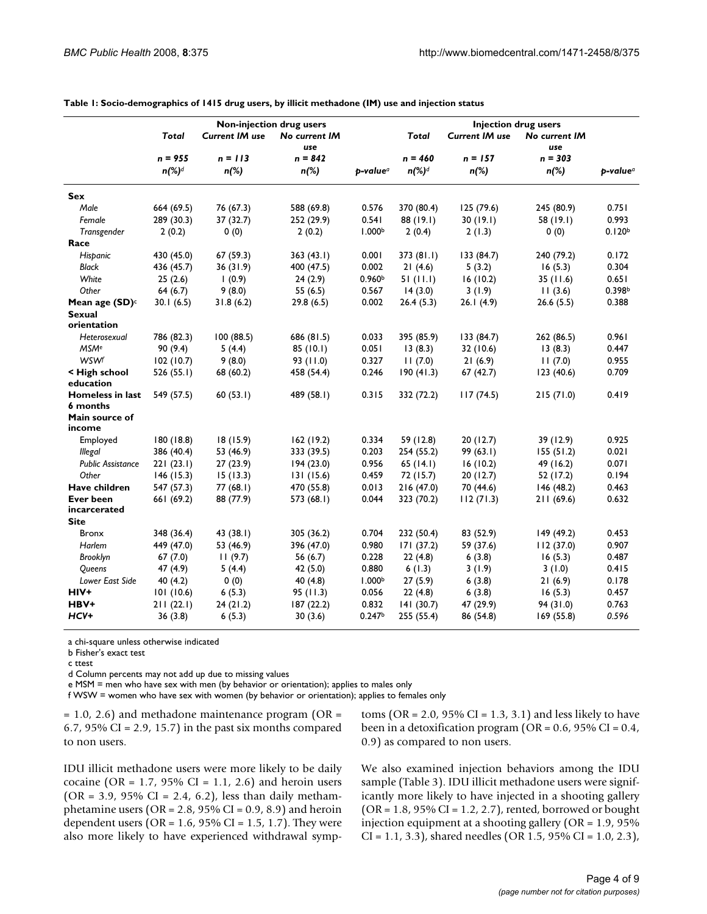|                            | <b>Non-injection drug users</b> |                                               |            | <b>Injection drug users</b> |                      |                       |                      |                                      |
|----------------------------|---------------------------------|-----------------------------------------------|------------|-----------------------------|----------------------|-----------------------|----------------------|--------------------------------------|
|                            | Total                           | <b>Current IM use</b><br>No current IM<br>use |            |                             | Total                | <b>Current IM use</b> | No current IM<br>use |                                      |
|                            | $n = 955$                       | $n = 113$                                     | $n = 842$  |                             | $n = 460$            | $n = 157$             | n = 303              |                                      |
|                            | $n$ (%) <sup>d</sup>            | $n$ (%)                                       | $n$ (%)    | p-value <sup>a</sup>        | $n$ (%) <sup>d</sup> | $n$ (%)               | $n(\%)$              | $p$ -value <sup><math>q</math></sup> |
| Sex                        |                                 |                                               |            |                             |                      |                       |                      |                                      |
| Male                       | 664 (69.5)                      | 76 (67.3)                                     | 588 (69.8) | 0.576                       | 370 (80.4)           | 125(79.6)             | 245 (80.9)           | 0.751                                |
| Female                     | 289 (30.3)                      | 37(32.7)                                      | 252 (29.9) | 0.541                       | 88 (19.1)            | 30(19.1)              | 58 (19.1)            | 0.993                                |
| Transgender                | 2(0.2)                          | 0(0)                                          | 2(0.2)     | 1.000 <sup>b</sup>          | 2(0.4)               | 2(1.3)                | 0(0)                 | 0.120 <sup>b</sup>                   |
| Race                       |                                 |                                               |            |                             |                      |                       |                      |                                      |
| Hispanic                   | 430 (45.0)                      | 67(59.3)                                      | 363(43.1)  | 0.001                       | 373(81.1)            | 133(84.7)             | 240 (79.2)           | 0.172                                |
| <b>Black</b>               | 436 (45.7)                      | 36(31.9)                                      | 400 (47.5) | 0.002                       | 21(4.6)              | 5(3.2)                | 16(5.3)              | 0.304                                |
| White                      | 25(2.6)                         | (0.9)                                         | 24(2.9)    | 0.960 <sup>b</sup>          | 51(11.1)             | 16(10.2)              | 35 (11.6)            | 0.651                                |
| Other                      | 64(6.7)                         | 9(8.0)                                        | 55 (6.5)   | 0.567                       | 14(3.0)              | 3(1.9)                | 11(3.6)              | 0.398b                               |
| Mean age $(SD)^c$          | 30.1(6.5)                       | 31.8(6.2)                                     | 29.8 (6.5) | 0.002                       | 26.4(5.3)            | 26.1(4.9)             | 26.6(5.5)            | 0.388                                |
| <b>Sexual</b>              |                                 |                                               |            |                             |                      |                       |                      |                                      |
| orientation                |                                 |                                               |            |                             |                      |                       |                      |                                      |
| Heterosexual               | 786 (82.3)                      | 100(88.5)                                     | 686 (81.5) | 0.033                       | 395 (85.9)           | 133(84.7)             | 262 (86.5)           | 0.961                                |
| <b>MSMe</b>                | 90 (9.4)                        | 5(4.4)                                        | 85 (10.1)  | 0.051                       | 13(8.3)              | 32 (10.6)             | 13(8.3)              | 0.447                                |
| WSWf                       | 102(10.7)                       | 9(8.0)                                        | 93 (11.0)  | 0.327                       | 11(7.0)              | 21(6.9)               | 11(7.0)              | 0.955                                |
| < High school<br>education | 526 (55.1)                      | 68 (60.2)                                     | 458 (54.4) | 0.246                       | 190(41.3)            | 67(42.7)              | 123(40.6)            | 0.709                                |
| Homeless in last           | 549 (57.5)                      | 60(53.1)                                      | 489 (58.1) | 0.315                       | 332 (72.2)           | 117(74.5)             | 215 (71.0)           | 0.419                                |
| 6 months                   |                                 |                                               |            |                             |                      |                       |                      |                                      |
| Main source of             |                                 |                                               |            |                             |                      |                       |                      |                                      |
| income                     |                                 |                                               |            |                             |                      |                       |                      |                                      |
| Employed                   | 180(18.8)                       | 18(15.9)                                      | 162(19.2)  | 0.334                       | 59 (12.8)            | 20(12.7)              | 39 (12.9)            | 0.925                                |
| Illegal                    | 386 (40.4)                      | 53 (46.9)                                     | 333 (39.5) | 0.203                       | 254 (55.2)           | 99(63.1)              | 155(51.2)            | 0.021                                |
| <b>Public Assistance</b>   | 221(23.1)                       | 27 (23.9)                                     | 194(23.0)  | 0.956                       | 65(14.1)             | 16(10.2)              | 49 (16.2)            | 0.071                                |
| Other                      | 146(15.3)                       | 15(13.3)                                      | 131(15.6)  | 0.459                       | 72 (15.7)            | 20(12.7)              | 52 (17.2)            | 0.194                                |
| Have children              | 547 (57.3)                      | 77 (68.1)                                     | 470 (55.8) | 0.013                       | 216(47.0)            | 70 (44.6)             | 146(48.2)            | 0.463                                |
| Ever been<br>incarcerated  | 661 (69.2)                      | 88 (77.9)                                     | 573 (68.1) | 0.044                       | 323 (70.2)           | 112(71.3)             | 211 (69.6)           | 0.632                                |
| <b>Site</b>                |                                 |                                               |            |                             |                      |                       |                      |                                      |
| <b>Bronx</b>               | 348 (36.4)                      | 43 (38.1)                                     | 305 (36.2) | 0.704                       | 232 (50.4)           | 83 (52.9)             | 149(49.2)            | 0.453                                |
| Harlem                     | 449 (47.0)                      | 53 (46.9)                                     | 396 (47.0) | 0.980                       | 171(37.2)            | 59 (37.6)             | 112(37.0)            | 0.907                                |
| Brooklyn                   | 67(7.0)                         | 11(9.7)                                       | 56 (6.7)   | 0.228                       | 22(4.8)              | 6(3.8)                | 16(5.3)              | 0.487                                |
| Queens                     | 47(4.9)                         | 5(4.4)                                        | 42 (5.0)   | 0.880                       | 6(1.3)               | 3(1.9)                | 3(1.0)               | 0.415                                |
| Lower East Side            | 40 $(4.2)$                      | 0(0)                                          | 40 (4.8)   | 1.000 <sup>b</sup>          | 27(5.9)              | 6(3.8)                | 21(6.9)              | 0.178                                |
| HIV+                       | 101(10.6)                       | 6(5.3)                                        | 95(11.3)   | 0.056                       | 22(4.8)              | 6(3.8)                | 16(5.3)              | 0.457                                |
| HBV+                       | 211 (22.1)                      | 24(21.2)                                      | 187 (22.2) | 0.832                       | 141(30.7)            | 47 (29.9)             | 94 (31.0)            | 0.763                                |
| HCV+                       | 36(3.8)                         | 6(5.3)                                        | 30(3.6)    | 0.247 <sup>b</sup>          | 255(55.4)            | 86 (54.8)             | 169 (55.8)           | 0.596                                |

**Table 1: Socio-demographics of 1415 drug users, by illicit methadone (IM) use and injection status**

a chi-square unless otherwise indicated

b Fisher's exact test

c ttest

d Column percents may not add up due to missing values

e MSM = men who have sex with men (by behavior or orientation); applies to males only

f WSW = women who have sex with women (by behavior or orientation); applies to females only

 $= 1.0, 2.6$ ) and methadone maintenance program (OR  $=$ 6.7, 95% CI = 2.9, 15.7) in the past six months compared to non users.

toms (OR = 2.0,  $95\%$  CI = 1.3, 3.1) and less likely to have been in a detoxification program ( $OR = 0.6$ , 95% CI = 0.4, 0.9) as compared to non users.

IDU illicit methadone users were more likely to be daily cocaine (OR = 1.7, 95% CI = 1.1, 2.6) and heroin users (OR = 3.9, 95% CI = 2.4, 6.2), less than daily methamphetamine users (OR =  $2.8$ ,  $95\%$  CI = 0.9, 8.9) and heroin dependent users (OR =  $1.6$ , 95% CI =  $1.5$ , 1.7). They were also more likely to have experienced withdrawal sympWe also examined injection behaviors among the IDU sample (Table 3). IDU illicit methadone users were significantly more likely to have injected in a shooting gallery  $(OR = 1.8, 95\% CI = 1.2, 2.7)$ , rented, borrowed or bought injection equipment at a shooting gallery (OR = 1.9, 95%  $CI = 1.1, 3.3$ , shared needles (OR 1.5, 95%  $CI = 1.0, 2.3$ ),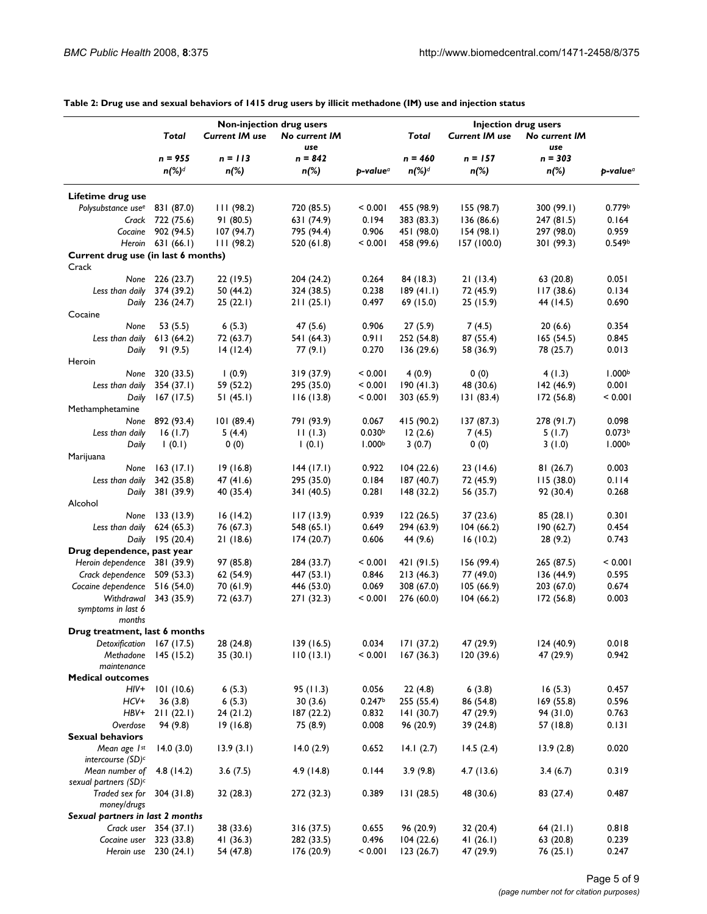|                                     | Non-injection drug users<br><b>Current IM use</b><br>Total<br>No current IM<br>use |           |            | <b>Injection drug users</b><br>Total<br><b>Current IM use</b><br>No current IM<br>use |                   |             |            |                      |
|-------------------------------------|------------------------------------------------------------------------------------|-----------|------------|---------------------------------------------------------------------------------------|-------------------|-------------|------------|----------------------|
|                                     | $n = 955$                                                                          | $n = 113$ | $n = 842$  |                                                                                       | $n = 460$         | $n = 157$   | $n = 303$  |                      |
|                                     | $n\frac{8}{9}$                                                                     | $n(\%)$   | $n(\%)$    | b-value <sup>a</sup>                                                                  | n(%) <sup>d</sup> | $n(\%)$     | $n(\%)$    | p-value <sup>a</sup> |
| Lifetime drug use                   |                                                                                    |           |            |                                                                                       |                   |             |            |                      |
| Polysubstance use <sup>e</sup>      | 831 (87.0)                                                                         | 111(98.2) | 720 (85.5) | < 0.001                                                                               | 455 (98.9)        | 155 (98.7)  | 300 (99.1) | 0.779 <sup>b</sup>   |
| Crack                               | 722 (75.6)                                                                         | 91(80.5)  | 631 (74.9) | 0.194                                                                                 | 383 (83.3)        | 136(86.6)   | 247 (81.5) | 0.164                |
| Cocaine                             | 902 (94.5)                                                                         | 107(94.7) | 795 (94.4) | 0.906                                                                                 | 451 (98.0)        | 154(98.1)   | 297 (98.0) | 0.959                |
| Heroin                              | 631(66.1)                                                                          | 111(98.2) | 520 (61.8) | < 0.001                                                                               | 458 (99.6)        | 157 (100.0) | 301 (99.3) | 0.549 <sup>b</sup>   |
| Current drug use (in last 6 months) |                                                                                    |           |            |                                                                                       |                   |             |            |                      |
| Crack                               |                                                                                    |           |            |                                                                                       |                   |             |            |                      |
| None                                | 226(23.7)                                                                          | 22(19.5)  | 204 (24.2) | 0.264                                                                                 | 84 (18.3)         | 21(13.4)    | 63 (20.8)  | 0.051                |
| Less than daily                     | 374 (39.2)                                                                         | 50 (44.2) | 324 (38.5) | 0.238                                                                                 | 189(41.1)         | 72 (45.9)   | 117(38.6)  | 0.134                |
| Daily                               | 236 (24.7)                                                                         | 25(22.1)  | 211(25.1)  | 0.497                                                                                 | 69 (15.0)         | 25 (15.9)   | 44 (14.5)  | 0.690                |
| Cocaine                             |                                                                                    |           |            |                                                                                       |                   |             |            |                      |
| None                                | 53 (5.5)                                                                           | 6(5.3)    | 47 (5.6)   | 0.906                                                                                 | 27(5.9)           | 7(4.5)      | 20(6.6)    | 0.354                |
| Less than daily                     | 613(64.2)                                                                          | 72(63.7)  | 541 (64.3) | 0.911                                                                                 | 252 (54.8)        | 87 (55.4)   | 165(54.5)  | 0.845                |
| Daily                               | 91(9.5)                                                                            | 14(12.4)  | 77(9.1)    | 0.270                                                                                 | 136(29.6)         | 58 (36.9)   | 78 (25.7)  | 0.013                |
| Heroin                              |                                                                                    |           |            |                                                                                       |                   |             |            |                      |
| None                                | 320 (33.5)                                                                         | (0.9)     | 319 (37.9) | < 0.001                                                                               | 4(0.9)            | 0(0)        | 4(1.3)     | 1.000 <sup>b</sup>   |
| Less than daily                     | 354 (37.1)                                                                         | 59 (52.2) | 295 (35.0) | < 0.001                                                                               | 190(41.3)         | 48 (30.6)   | 142(46.9)  | 0.001                |
| Daily                               | 167(17.5)                                                                          | 51(45.1)  | 116(13.8)  | < 0.001                                                                               | 303 (65.9)        | 131(83.4)   | 172 (56.8) | < 0.001              |
| Methamphetamine                     |                                                                                    |           |            |                                                                                       |                   |             |            |                      |
| None                                | 892 (93.4)                                                                         | 101(89.4) | 791 (93.9) | 0.067                                                                                 | 415 (90.2)        | 137(87.3)   | 278 (91.7) | 0.098                |
| Less than daily                     | 16(1.7)                                                                            | 5(4.4)    | 11(1.3)    | 0.030 <sup>b</sup>                                                                    | 12(2.6)           | 7(4.5)      | 5(1.7)     | 0.073 <sup>b</sup>   |
| Daily                               | (0.1)                                                                              | 0(0)      | (0.1)      | 1.000 <sup>b</sup>                                                                    | 3(0.7)            | 0(0)        | 3(1.0)     | 1.000 <sup>b</sup>   |
| Marijuana                           |                                                                                    |           |            |                                                                                       |                   |             |            |                      |
| None                                | 163(17.1)                                                                          | 19(16.8)  | 144 (17.1) | 0.922                                                                                 | 104(22.6)         | 23(14.6)    | 81(26.7)   | 0.003                |
| Less than daily                     | 342 (35.8)                                                                         | 47 (41.6) | 295 (35.0) | 0.184                                                                                 | 187(40.7)         | 72 (45.9)   | 115(38.0)  | 0.114                |
| Daily                               | 381 (39.9)                                                                         | 40 (35.4) | 341 (40.5) | 0.281                                                                                 | 148(32.2)         | 56 (35.7)   | 92 (30.4)  | 0.268                |
| Alcohol                             |                                                                                    |           |            |                                                                                       |                   |             |            |                      |
| None                                | 133(13.9)                                                                          | 16(14.2)  | 117(13.9)  | 0.939                                                                                 | 122(26.5)         | 37 (23.6)   | 85(28.1)   | 0.301                |
| Less than daily                     | 624(65.3)                                                                          | 76 (67.3) | 548 (65.1) | 0.649                                                                                 | 294 (63.9)        | 104(66.2)   | 190 (62.7) | 0.454                |
| Daily                               | 195(20.4)                                                                          | 21(18.6)  | 174(20.7)  | 0.606                                                                                 | 44 (9.6)          | 16(10.2)    | 28(9.2)    | 0.743                |
| Drug dependence, past year          |                                                                                    |           |            |                                                                                       |                   |             |            |                      |
| Heroin dependence                   | 381 (39.9)                                                                         | 97 (85.8) | 284 (33.7) | < 0.001                                                                               | 421 (91.5)        | 156 (99.4)  | 265 (87.5) | < 0.001              |
| Crack dependence                    | 509 (53.3)                                                                         | 62 (54.9) | 447 (53.1) | 0.846                                                                                 | 213(46.3)         | 77 (49.0)   | 136(44.9)  | 0.595                |
| Cocaine dependence                  | 516(54.0)                                                                          | 70 (61.9) | 446 (53.0) | 0.069                                                                                 | 308 (67.0)        | 105(66.9)   | 203 (67.0) | 0.674                |
| Withdrawal                          | 343 (35.9)                                                                         | 72 (63.7) | 271 (32.3) | < 0.001                                                                               | 276 (60.0)        | 104(66.2)   | 172(56.8)  | 0.003                |
| symptoms in last 6                  |                                                                                    |           |            |                                                                                       |                   |             |            |                      |
| months                              |                                                                                    |           |            |                                                                                       |                   |             |            |                      |
| Drug treatment, last 6 months       |                                                                                    |           |            |                                                                                       |                   |             |            |                      |
| Detoxification                      | 167(17.5)                                                                          | 28 (24.8) | 139 (16.5) | 0.034                                                                                 | 171 (37.2)        | 47 (29.9)   | 124 (40.9) | 0.018                |
| Methadone                           | 145(15.2)                                                                          | 35(30.1)  | 110(13.1)  | < 0.001                                                                               | 167(36.3)         | 120 (39.6)  | 47 (29.9)  | 0.942                |
| maintenance                         |                                                                                    |           |            |                                                                                       |                   |             |            |                      |
| <b>Medical outcomes</b>             |                                                                                    |           |            |                                                                                       |                   |             |            |                      |
| HIV+                                | 101(10.6)                                                                          | 6(5.3)    | 95(11.3)   | 0.056                                                                                 | 22(4.8)           | 6(3.8)      | 16(5.3)    | 0.457                |
| HCV+                                | 36(3.8)                                                                            | 6(5.3)    | 30(3.6)    | 0.247 <sup>b</sup>                                                                    | 255 (55.4)        | 86 (54.8)   | 169(55.8)  | 0.596                |
| HBV+                                | 211(22.1)                                                                          | 24(21.2)  | 187 (22.2) | 0.832                                                                                 | 141(30.7)         | 47 (29.9)   | 94(31.0)   | 0.763                |
| Overdose                            | 94 (9.8)                                                                           | 19(16.8)  | 75 (8.9)   | 0.008                                                                                 | 96 (20.9)         | 39 (24.8)   | 57 (18.8)  | 0.131                |
| Sexual behaviors                    |                                                                                    |           |            |                                                                                       |                   |             |            |                      |
| Mean age 1st                        | 14.0(3.0)                                                                          | 13.9(3.1) | 14.0(2.9)  | 0.652                                                                                 | 14.1(2.7)         | 14.5(2.4)   | 13.9(2.8)  | 0.020                |
| intercourse (SD) <sup>c</sup>       |                                                                                    |           |            |                                                                                       |                   |             |            |                      |
| Mean number of                      | 4.8(14.2)                                                                          | 3.6(7.5)  | 4.9 (14.8) | 0.144                                                                                 | 3.9(9.8)          | 4.7(13.6)   | 3.4(6.7)   | 0.319                |
| sexual partners $(SD)^c$            |                                                                                    |           |            |                                                                                       |                   |             |            |                      |
| Traded sex for                      | 304(31.8)                                                                          | 32 (28.3) | 272 (32.3) | 0.389                                                                                 | 131(28.5)         | 48 (30.6)   | 83 (27.4)  | 0.487                |
| money/drugs                         |                                                                                    |           |            |                                                                                       |                   |             |            |                      |
| Sexual partners in last 2 months    |                                                                                    |           |            |                                                                                       |                   |             |            |                      |
| Crack user                          | 354 (37.1)                                                                         | 38 (33.6) | 316(37.5)  | 0.655                                                                                 | 96 (20.9)         | 32 (20.4)   | 64(21.1)   | 0.818                |
| Cocaine user                        | 323 (33.8)                                                                         | 41(36.3)  | 282 (33.5) | 0.496                                                                                 | 104(22.6)         | 41(26.1)    | 63 (20.8)  | 0.239                |
| Heroin use                          | 230(24.1)                                                                          | 54 (47.8) | 176(20.9)  | < 0.001                                                                               | 123(26.7)         | 47 (29.9)   | 76 (25.1)  | 0.247                |

**Table 2: Drug use and sexual behaviors of 1415 drug users by illicit methadone (IM) use and injection status**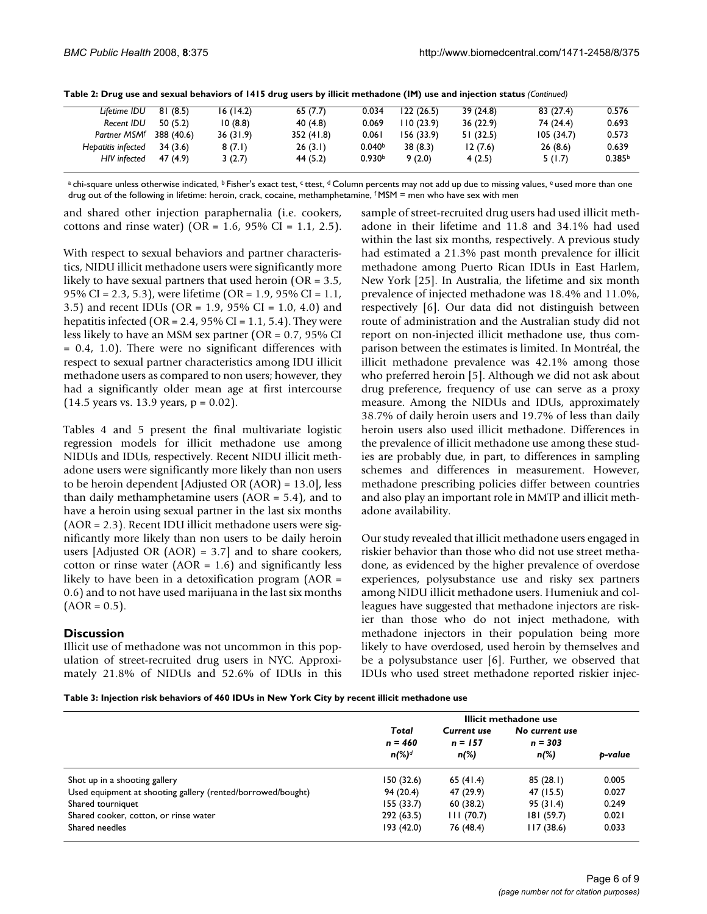| Lifetime IDU       | 81 (8.5)   | 16(14.2) | 65(7.7)    | 0.034              | 122(26.5) | 39(24.8) | 83 (27.4) | 0.576              |
|--------------------|------------|----------|------------|--------------------|-----------|----------|-----------|--------------------|
| Recent IDU         | 50(5.2)    | 10(8.8)  | 40 (4.8)   | 0.069              | 110(23.9) | 36(22.9) | 74 (24.4) | 0.693              |
| Partner MSMf       | 388 (40.6) | 36(31.9) | 352 (41.8) | 0.061              | 156(33.9) | 51(32.5) | 105(34.7) | 0.573              |
| Hepatitis infected | 34 (3.6)   | 8(7.1)   | 26(3.1)    | 0.040 <sup>b</sup> | 38(8.3)   | 12(7.6)  | 26(8.6)   | 0.639              |
| HIV infected       | 47 (4.9)   | 3(2.7)   | 44 (5.2)   | 0.930 <sup>b</sup> | 9(2.0)    | 4(2.5)   | 5(1.7)    | 0.385 <sup>b</sup> |

**Table 2: Drug use and sexual behaviors of 1415 drug users by illicit methadone (IM) use and injection status** *(Continued)*

a chi-square unless otherwise indicated, <sup>b</sup> Fisher's exact test, <sup>c</sup> ttest, <sup>d</sup> Column percents may not add up due to missing values, e used more than one drug out of the following in lifetime: heroin, crack, cocaine, methamphetamine, f MSM = men who have sex with men

and shared other injection paraphernalia (i.e. cookers, cottons and rinse water) (OR =  $1.6$ , 95% CI =  $1.1$ , 2.5).

With respect to sexual behaviors and partner characteristics, NIDU illicit methadone users were significantly more likely to have sexual partners that used heroin ( $OR = 3.5$ , 95% CI = 2.3, 5.3), were lifetime (OR = 1.9, 95% CI = 1.1, 3.5) and recent IDUs (OR = 1.9, 95% CI = 1.0, 4.0) and hepatitis infected (OR =  $2.4$ , 95% CI =  $1.1$ , 5.4). They were less likely to have an MSM sex partner (OR = 0.7, 95% CI  $= 0.4, 1.0$ ). There were no significant differences with respect to sexual partner characteristics among IDU illicit methadone users as compared to non users; however, they had a significantly older mean age at first intercourse  $(14.5 \text{ years vs. } 13.9 \text{ years, p} = 0.02).$ 

Tables 4 and 5 present the final multivariate logistic regression models for illicit methadone use among NIDUs and IDUs, respectively. Recent NIDU illicit methadone users were significantly more likely than non users to be heroin dependent [Adjusted OR (AOR) = 13.0], less than daily methamphetamine users  $(AOR = 5.4)$ , and to have a heroin using sexual partner in the last six months (AOR = 2.3). Recent IDU illicit methadone users were significantly more likely than non users to be daily heroin users [Adjusted OR (AOR) = 3.7] and to share cookers, cotton or rinse water  $(AOR = 1.6)$  and significantly less likely to have been in a detoxification program (AOR = 0.6) and to not have used marijuana in the last six months  $(AOR = 0.5)$ .

#### **Discussion**

Illicit use of methadone was not uncommon in this population of street-recruited drug users in NYC. Approximately 21.8% of NIDUs and 52.6% of IDUs in this sample of street-recruited drug users had used illicit methadone in their lifetime and 11.8 and 34.1% had used within the last six months, respectively. A previous study had estimated a 21.3% past month prevalence for illicit methadone among Puerto Rican IDUs in East Harlem, New York [25]. In Australia, the lifetime and six month prevalence of injected methadone was 18.4% and 11.0%, respectively [6]. Our data did not distinguish between route of administration and the Australian study did not report on non-injected illicit methadone use, thus comparison between the estimates is limited. In Montréal, the illicit methadone prevalence was 42.1% among those who preferred heroin [5]. Although we did not ask about drug preference, frequency of use can serve as a proxy measure. Among the NIDUs and IDUs, approximately 38.7% of daily heroin users and 19.7% of less than daily heroin users also used illicit methadone. Differences in the prevalence of illicit methadone use among these studies are probably due, in part, to differences in sampling schemes and differences in measurement. However, methadone prescribing policies differ between countries and also play an important role in MMTP and illicit methadone availability.

Our study revealed that illicit methadone users engaged in riskier behavior than those who did not use street methadone, as evidenced by the higher prevalence of overdose experiences, polysubstance use and risky sex partners among NIDU illicit methadone users. Humeniuk and colleagues have suggested that methadone injectors are riskier than those who do not inject methadone, with methadone injectors in their population being more likely to have overdosed, used heroin by themselves and be a polysubstance user [6]. Further, we observed that IDUs who used street methadone reported riskier injec-

**Table 3: Injection risk behaviors of 460 IDUs in New York City by recent illicit methadone use**

|                                                             | Illicit methadone use                      |                                     |                                        |         |
|-------------------------------------------------------------|--------------------------------------------|-------------------------------------|----------------------------------------|---------|
|                                                             | Total<br>$n = 460$<br>$n$ (%) <sup>d</sup> | Current use<br>$n = 157$<br>$n(\%)$ | No current use<br>$n = 303$<br>$n(\%)$ | p-value |
| Shot up in a shooting gallery                               | 150 (32.6)                                 | 65(41.4)                            | 85(28.1)                               | 0.005   |
| Used equipment at shooting gallery (rented/borrowed/bought) | 94 (20.4)                                  | 47 (29.9)                           | 47 (15.5)                              | 0.027   |
| Shared tourniquet                                           | 155(33.7)                                  | 60(38.2)                            | 95(31.4)                               | 0.249   |
| Shared cooker, cotton, or rinse water                       | 292 (63.5)                                 | 111(70.7)                           | 181(59.7)                              | 0.021   |
| Shared needles                                              | 193 (42.0)                                 | 76 (48.4)                           | 117(38.6)                              | 0.033   |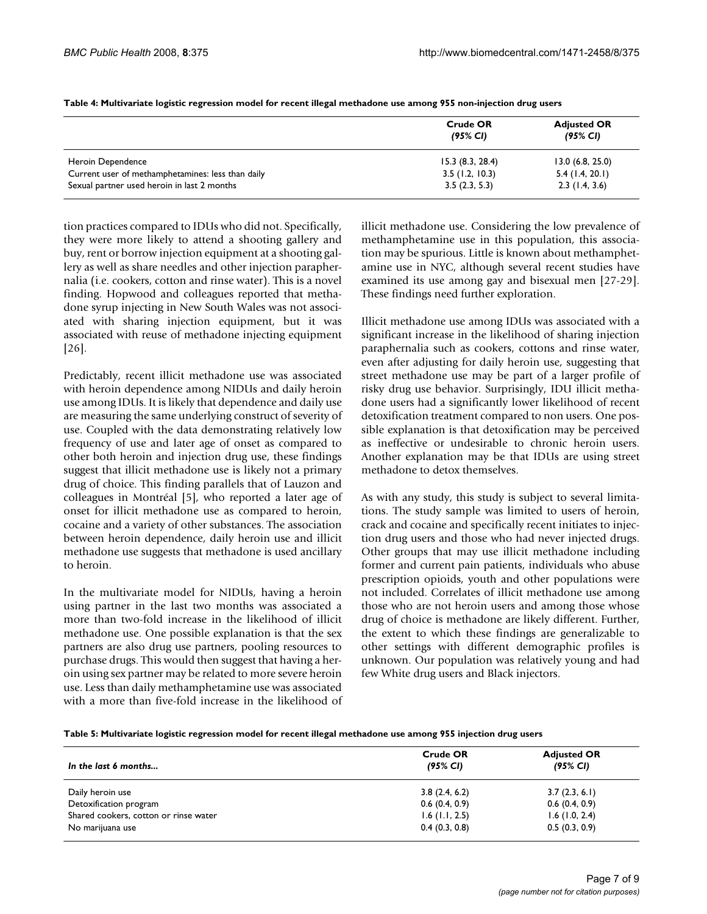|                                                   | <b>Crude OR</b><br>$(95\% \, \text{CI})$ | <b>Adjusted OR</b><br>$(95\% \, \text{Cl})$ |
|---------------------------------------------------|------------------------------------------|---------------------------------------------|
| Heroin Dependence                                 | 15.3(8.3, 28.4)                          | 13.0(6.8, 25.0)                             |
| Current user of methamphetamines: less than daily | $3.5$ (1.2, 10.3)                        | $5.4$ (1.4, 20.1)                           |
| Sexual partner used heroin in last 2 months       | 3.5(2.3, 5.3)                            | 2.3(1.4, 3.6)                               |

**Table 4: Multivariate logistic regression model for recent illegal methadone use among 955 non-injection drug users**

tion practices compared to IDUs who did not. Specifically, they were more likely to attend a shooting gallery and buy, rent or borrow injection equipment at a shooting gallery as well as share needles and other injection paraphernalia (i.e. cookers, cotton and rinse water). This is a novel finding. Hopwood and colleagues reported that methadone syrup injecting in New South Wales was not associated with sharing injection equipment, but it was associated with reuse of methadone injecting equipment [26].

Predictably, recent illicit methadone use was associated with heroin dependence among NIDUs and daily heroin use among IDUs. It is likely that dependence and daily use are measuring the same underlying construct of severity of use. Coupled with the data demonstrating relatively low frequency of use and later age of onset as compared to other both heroin and injection drug use, these findings suggest that illicit methadone use is likely not a primary drug of choice. This finding parallels that of Lauzon and colleagues in Montréal [5], who reported a later age of onset for illicit methadone use as compared to heroin, cocaine and a variety of other substances. The association between heroin dependence, daily heroin use and illicit methadone use suggests that methadone is used ancillary to heroin.

In the multivariate model for NIDUs, having a heroin using partner in the last two months was associated a more than two-fold increase in the likelihood of illicit methadone use. One possible explanation is that the sex partners are also drug use partners, pooling resources to purchase drugs. This would then suggest that having a heroin using sex partner may be related to more severe heroin use. Less than daily methamphetamine use was associated with a more than five-fold increase in the likelihood of illicit methadone use. Considering the low prevalence of methamphetamine use in this population, this association may be spurious. Little is known about methamphetamine use in NYC, although several recent studies have examined its use among gay and bisexual men [27-29]. These findings need further exploration.

Illicit methadone use among IDUs was associated with a significant increase in the likelihood of sharing injection paraphernalia such as cookers, cottons and rinse water, even after adjusting for daily heroin use, suggesting that street methadone use may be part of a larger profile of risky drug use behavior. Surprisingly, IDU illicit methadone users had a significantly lower likelihood of recent detoxification treatment compared to non users. One possible explanation is that detoxification may be perceived as ineffective or undesirable to chronic heroin users. Another explanation may be that IDUs are using street methadone to detox themselves.

As with any study, this study is subject to several limitations. The study sample was limited to users of heroin, crack and cocaine and specifically recent initiates to injection drug users and those who had never injected drugs. Other groups that may use illicit methadone including former and current pain patients, individuals who abuse prescription opioids, youth and other populations were not included. Correlates of illicit methadone use among those who are not heroin users and among those whose drug of choice is methadone are likely different. Further, the extent to which these findings are generalizable to other settings with different demographic profiles is unknown. Our population was relatively young and had few White drug users and Black injectors.

**Table 5: Multivariate logistic regression model for recent illegal methadone use among 955 injection drug users**

| In the last 6 months                  | <b>Crude OR</b><br>$(95\% \, \text{Cl})$ | <b>Adjusted OR</b><br>(95% CI) |
|---------------------------------------|------------------------------------------|--------------------------------|
| Daily heroin use                      | 3.8(2.4, 6.2)                            | 3.7(2.3, 6.1)                  |
| Detoxification program                | 0.6(0.4, 0.9)                            | 0.6(0.4, 0.9)                  |
| Shared cookers, cotton or rinse water | $1.6$ (1.1, 2.5)                         | $1.6$ (1.0, 2.4)               |
| No marijuana use                      | 0.4(0.3, 0.8)                            | 0.5(0.3, 0.9)                  |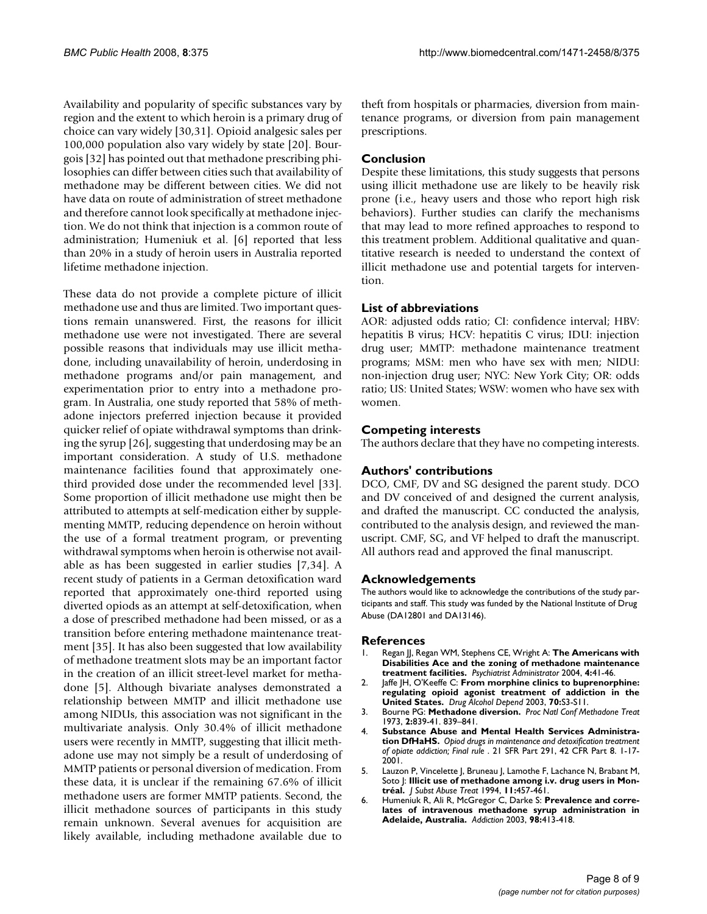Availability and popularity of specific substances vary by region and the extent to which heroin is a primary drug of choice can vary widely [30,31]. Opioid analgesic sales per 100,000 population also vary widely by state [20]. Bourgois [32] has pointed out that methadone prescribing philosophies can differ between cities such that availability of methadone may be different between cities. We did not have data on route of administration of street methadone and therefore cannot look specifically at methadone injection. We do not think that injection is a common route of administration; Humeniuk et al. [6] reported that less than 20% in a study of heroin users in Australia reported lifetime methadone injection.

These data do not provide a complete picture of illicit methadone use and thus are limited. Two important questions remain unanswered. First, the reasons for illicit methadone use were not investigated. There are several possible reasons that individuals may use illicit methadone, including unavailability of heroin, underdosing in methadone programs and/or pain management, and experimentation prior to entry into a methadone program. In Australia, one study reported that 58% of methadone injectors preferred injection because it provided quicker relief of opiate withdrawal symptoms than drinking the syrup [26], suggesting that underdosing may be an important consideration. A study of U.S. methadone maintenance facilities found that approximately onethird provided dose under the recommended level [33]. Some proportion of illicit methadone use might then be attributed to attempts at self-medication either by supplementing MMTP, reducing dependence on heroin without the use of a formal treatment program, or preventing withdrawal symptoms when heroin is otherwise not available as has been suggested in earlier studies [7,34]. A recent study of patients in a German detoxification ward reported that approximately one-third reported using diverted opiods as an attempt at self-detoxification, when a dose of prescribed methadone had been missed, or as a transition before entering methadone maintenance treatment [35]. It has also been suggested that low availability of methadone treatment slots may be an important factor in the creation of an illicit street-level market for methadone [5]. Although bivariate analyses demonstrated a relationship between MMTP and illicit methadone use among NIDUs, this association was not significant in the multivariate analysis. Only 30.4% of illicit methadone users were recently in MMTP, suggesting that illicit methadone use may not simply be a result of underdosing of MMTP patients or personal diversion of medication. From these data, it is unclear if the remaining 67.6% of illicit methadone users are former MMTP patients. Second, the illicit methadone sources of participants in this study remain unknown. Several avenues for acquisition are likely available, including methadone available due to

theft from hospitals or pharmacies, diversion from maintenance programs, or diversion from pain management prescriptions.

# **Conclusion**

Despite these limitations, this study suggests that persons using illicit methadone use are likely to be heavily risk prone (i.e., heavy users and those who report high risk behaviors). Further studies can clarify the mechanisms that may lead to more refined approaches to respond to this treatment problem. Additional qualitative and quantitative research is needed to understand the context of illicit methadone use and potential targets for intervention.

# **List of abbreviations**

AOR: adjusted odds ratio; CI: confidence interval; HBV: hepatitis B virus; HCV: hepatitis C virus; IDU: injection drug user; MMTP: methadone maintenance treatment programs; MSM: men who have sex with men; NIDU: non-injection drug user; NYC: New York City; OR: odds ratio; US: United States; WSW: women who have sex with women.

# **Competing interests**

The authors declare that they have no competing interests.

# **Authors' contributions**

DCO, CMF, DV and SG designed the parent study. DCO and DV conceived of and designed the current analysis, and drafted the manuscript. CC conducted the analysis, contributed to the analysis design, and reviewed the manuscript. CMF, SG, and VF helped to draft the manuscript. All authors read and approved the final manuscript.

# **Acknowledgements**

The authors would like to acknowledge the contributions of the study participants and staff. This study was funded by the National Institute of Drug Abuse (DA12801 and DA13146).

#### **References**

- 1. Regan JJ, Regan WM, Stephens CE, Wright A: **The Americans with Disabilities Ace and the zoning of methadone maintenance treatment facilities.** *Psychiatrist Administrator* 2004, **4:**41-46.
- 2. Jaffe JH, O'Keeffe C: **[From morphine clinics to buprenorphine:](http://www.ncbi.nlm.nih.gov/entrez/query.fcgi?cmd=Retrieve&db=PubMed&dopt=Abstract&list_uids=12738346) [regulating opioid agonist treatment of addiction in the](http://www.ncbi.nlm.nih.gov/entrez/query.fcgi?cmd=Retrieve&db=PubMed&dopt=Abstract&list_uids=12738346) [United States.](http://www.ncbi.nlm.nih.gov/entrez/query.fcgi?cmd=Retrieve&db=PubMed&dopt=Abstract&list_uids=12738346)** *Drug Alcohol Depend* 2003, **70:**S3-S11.
- 3. Bourne PG: **[Methadone diversion.](http://www.ncbi.nlm.nih.gov/entrez/query.fcgi?cmd=Retrieve&db=PubMed&dopt=Abstract&list_uids=4808308)** *Proc Natl Conf Methadone Treat* 1973, **2:**839-41. 839–841.
- 4. **Substance Abuse and Mental Health Services Administration DfHaHS.** *Opiod drugs in maintenance and detoxification treatment of opiate addiction; Final rule* . 21 SFR Part 291, 42 CFR Part 8. 1-17- 2001.
- 5. Lauzon P, Vincelette J, Bruneau J, Lamothe F, Lachance N, Brabant M, Soto |: **[Illicit use of methadone among i.v. drug users in Mon](http://www.ncbi.nlm.nih.gov/entrez/query.fcgi?cmd=Retrieve&db=PubMed&dopt=Abstract&list_uids=7869467)[tréal.](http://www.ncbi.nlm.nih.gov/entrez/query.fcgi?cmd=Retrieve&db=PubMed&dopt=Abstract&list_uids=7869467)** *J Subst Abuse Treat* 1994, **11:**457-461.
- 6. Humeniuk R, Ali R, McGregor C, Darke S: **[Prevalence and corre](http://www.ncbi.nlm.nih.gov/entrez/query.fcgi?cmd=Retrieve&db=PubMed&dopt=Abstract&list_uids=12653811)[lates of intravenous methadone syrup administration in](http://www.ncbi.nlm.nih.gov/entrez/query.fcgi?cmd=Retrieve&db=PubMed&dopt=Abstract&list_uids=12653811) [Adelaide, Australia.](http://www.ncbi.nlm.nih.gov/entrez/query.fcgi?cmd=Retrieve&db=PubMed&dopt=Abstract&list_uids=12653811)** *Addiction* 2003, **98:**413-418.